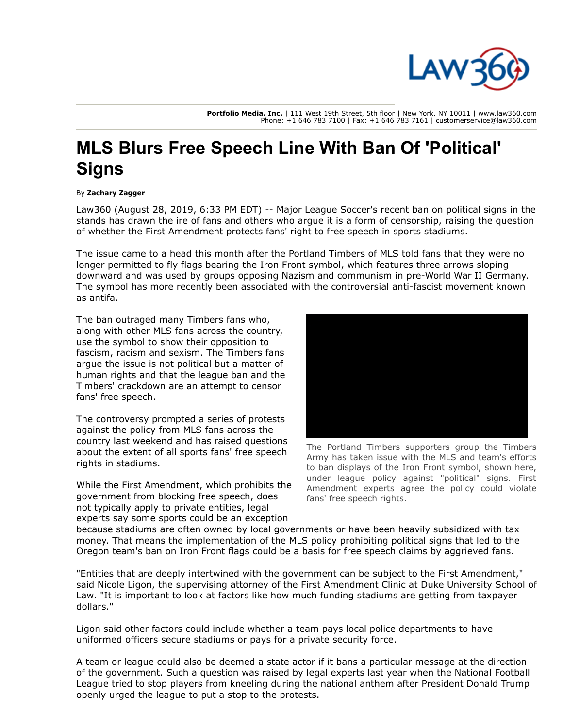

**Portfolio Media. Inc.** | 111 West 19th Street, 5th floor | New York, NY 10011 | www.law360.com Phone: +1 646 783 7100 | Fax: +1 646 783 7161 | customerservice@law360.com

## **MLS Blurs Free Speech Line With Ban Of 'Political' Signs**

## By **Zachary Zagger**

Law360 (August 28, 2019, 6:33 PM EDT) -- [Major League Soccer](https://www.law360.com/companies/major-league-soccer-llc)'s recent ban on political signs in the stands has drawn the ire of fans and others who argue it is a form of censorship, raising the question of whether the First Amendment protects fans' right to free speech in sports stadiums.

The issue came to a head this month after the [Portland Timbers](https://www.law360.com/companies/portland-timbers) of MLS told fans that they were no longer permitted to fly flags bearing the Iron Front symbol, which features three arrows sloping downward and was used by groups opposing Nazism and communism in pre-World War II Germany. The symbol has more recently been associated with the controversial anti-fascist movement known as antifa.

The ban outraged many Timbers fans who, along with other MLS fans across the country, use the symbol to show their opposition to fascism, racism and sexism. The Timbers fans argue the issue is not political but a matter of human rights and that the league ban and the Timbers' crackdown are an attempt to censor fans' free speech.

The controversy prompted a series of protests against the policy from MLS fans across the country last weekend and has raised questions about the extent of all sports fans' free speech rights in stadiums.

While the First Amendment, which prohibits the government from blocking free speech, does not typically apply to private entities, legal experts say some sports could be an exception



The Portland Timbers supporters group the Timbers Army has taken issue with the MLS and team's efforts to ban displays of the Iron Front symbol, shown here, under league policy against "political" signs. First Amendment experts agree the policy could violate fans' free speech rights.

because stadiums are often owned by local governments or have been heavily subsidized with tax money. That means the implementation of the MLS policy prohibiting political signs that led to the Oregon team's ban on Iron Front flags could be a basis for free speech claims by aggrieved fans.

"Entities that are deeply intertwined with the government can be subject to the First Amendment," said Nicole Ligon, the supervising attorney of the First Amendment Clinic at Duke University School of Law. "It is important to look at factors like how much funding stadiums are getting from taxpayer dollars."

Ligon said other factors could include whether a team pays local police departments to have uniformed officers secure stadiums or pays for a private security force.

A team or league could also be deemed a state actor if it bans a particular message at the direction [of the government. Such a question was raised by legal experts last year when the National Football](https://www.law360.com/companies/nfl-enterprises-llc) League tried to stop players from kneeling during the national anthem after President Donald Trump openly urged the league to put a stop to the protests.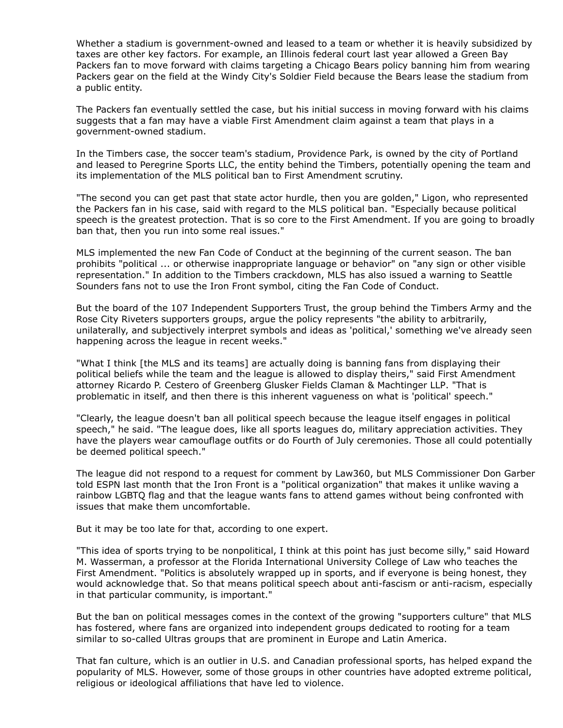Whether a stadium is government-owned and leased to a team or whether it is heavily subsidized by [taxes are other key factors. For example, an Illinois federal court last year allowed a Green Bay](https://www.law360.com/companies/green-bay-packers) Packers fan to move forward with claims targeting a [Chicago Bears](https://www.law360.com/companies/chicago-bears) policy banning him from wearing Packers gear on the field at the Windy City's Soldier Field because the Bears lease the stadium from a public entity.

The Packers fan eventually settled the case, but his initial success in moving forward with his claims suggests that a fan may have a viable First Amendment claim against a team that plays in a government-owned stadium.

In the Timbers case, the soccer team's stadium, Providence Park, is owned by the city of Portland and leased to Peregrine Sports LLC, the entity behind the Timbers, potentially opening the team and its implementation of the MLS political ban to First Amendment scrutiny.

"The second you can get past that state actor hurdle, then you are golden," Ligon, who represented the Packers fan in his case, said with regard to the MLS political ban. "Especially because political speech is the greatest protection. That is so core to the First Amendment. If you are going to broadly ban that, then you run into some real issues."

MLS implemented the new Fan Code of Conduct at the beginning of the current season. The ban prohibits "political ... or otherwise inappropriate language or behavior" on "any sign or other visible representation." In addition to the Timbers crackdown, MLS has also issued a warning to Seattle Sounders fans not to use the Iron Front symbol, citing the Fan Code of Conduct.

But the board of the 107 Independent Supporters Trust, the group behind the Timbers Army and the Rose City Riveters supporters groups, argue the policy represents "the ability to arbitrarily, unilaterally, and subjectively interpret symbols and ideas as 'political,' something we've already seen happening across the league in recent weeks."

"What I think [the MLS and its teams] are actually doing is banning fans from displaying their political beliefs while the team and the league is allowed to display theirs," said First Amendment attorney Ricardo P. Cestero of [Greenberg Glusker Fields Claman & Machtinger LLP.](https://www.law360.com/firms/greenberg-glusker) "That is problematic in itself, and then there is this inherent vagueness on what is 'political' speech."

"Clearly, the league doesn't ban all political speech because the league itself engages in political speech," he said. "The league does, like all sports leagues do, military appreciation activities. They have the players wear camouflage outfits or do Fourth of July ceremonies. Those all could potentially be deemed political speech."

The league did not respond to a request for comment by Law360, but MLS Commissioner Don Garber told [ESPN](https://www.law360.com/companies/espn-inc) last month that the Iron Front is a "political organization" that makes it unlike waving a rainbow LGBTQ flag and that the league wants fans to attend games without being confronted with issues that make them uncomfortable.

But it may be too late for that, according to one expert.

"This idea of sports trying to be nonpolitical, I think at this point has just become silly," said Howard M. Wasserman, a professor at the Florida International University College of Law who teaches the First Amendment. "Politics is absolutely wrapped up in sports, and if everyone is being honest, they would acknowledge that. So that means political speech about anti-fascism or anti-racism, especially in that particular community, is important."

But the ban on political messages comes in the context of the growing "supporters culture" that MLS has fostered, where fans are organized into independent groups dedicated to rooting for a team similar to so-called Ultras groups that are prominent in Europe and Latin America.

That fan culture, which is an outlier in U.S. and Canadian professional sports, has helped expand the popularity of MLS. However, some of those groups in other countries have adopted extreme political, religious or ideological affiliations that have led to violence.